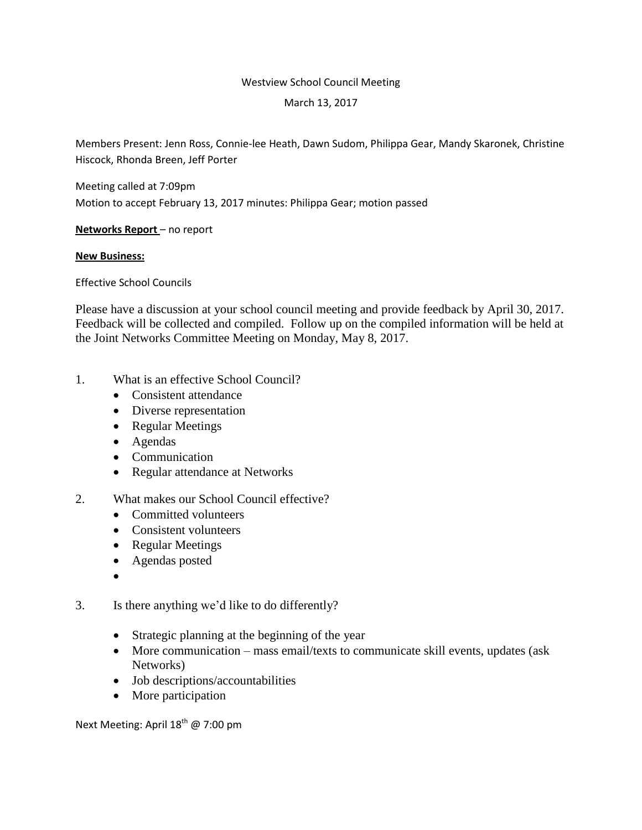#### Westview School Council Meeting

#### March 13, 2017

Members Present: Jenn Ross, Connie-lee Heath, Dawn Sudom, Philippa Gear, Mandy Skaronek, Christine Hiscock, Rhonda Breen, Jeff Porter

Meeting called at 7:09pm Motion to accept February 13, 2017 minutes: Philippa Gear; motion passed

**Networks Report** – no report

## **New Business:**

Effective School Councils

Please have a discussion at your school council meeting and provide feedback by April 30, 2017. Feedback will be collected and compiled. Follow up on the compiled information will be held at the Joint Networks Committee Meeting on Monday, May 8, 2017.

- 1. What is an effective School Council?
	- Consistent attendance
	- Diverse representation
	- Regular Meetings
	- Agendas
	- Communication
	- Regular attendance at Networks
- 2. What makes our School Council effective?
	- Committed volunteers
	- Consistent volunteers
	- Regular Meetings
	- Agendas posted
	- $\bullet$
- 3. Is there anything we'd like to do differently?
	- Strategic planning at the beginning of the year
	- More communication mass email/texts to communicate skill events, updates (ask Networks)
	- Job descriptions/accountabilities
	- More participation

Next Meeting: April 18<sup>th</sup> @ 7:00 pm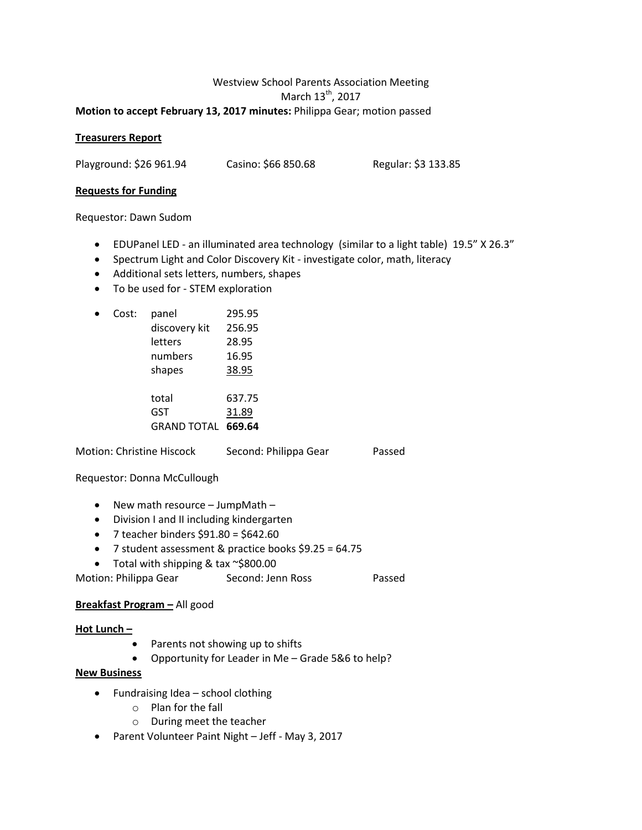## Westview School Parents Association Meeting March 13<sup>th</sup>, 2017 **Motion to accept February 13, 2017 minutes:** Philippa Gear; motion passed

## **Treasurers Report**

Playground: \$26 961.94 Casino: \$66 850.68 Regular: \$3 133.85

#### **Requests for Funding**

Requestor: Dawn Sudom

- EDUPanel LED an illuminated area technology (similar to a light table) 19.5" X 26.3"
- Spectrum Light and Color Discovery Kit investigate color, math, literacy
- Additional sets letters, numbers, shapes
- To be used for STEM exploration

| Cost: | panel         | 295.95 |
|-------|---------------|--------|
|       | discovery kit | 256.95 |
|       | letters       | 28.95  |
|       | numbers       | 16.95  |
|       | shapes        | 38.95  |
|       | total         | 637.75 |
|       | GST           | 31.89  |
|       | GRAND TOTAL   | 669.64 |

| Motion: Christine Hiscock | Second: Philippa Gear | Passed |
|---------------------------|-----------------------|--------|
|                           |                       |        |

## Requestor: Donna McCullough

- New math resource JumpMath -
- Division I and II including kindergarten
- 7 teacher binders  $$91.80 = $642.60$
- 7 student assessment & practice books \$9.25 = 64.75
- Total with shipping & tax ~\$800.00
- Motion: Philippa Gear Second: Jenn Ross Passed

## **Breakfast Program –** All good

## **Hot Lunch –**

- Parents not showing up to shifts
- Opportunity for Leader in Me Grade 5&6 to help?

## **New Business**

- $\bullet$  Fundraising Idea school clothing
	- o Plan for the fall
	- o During meet the teacher
- Parent Volunteer Paint Night Jeff May 3, 2017